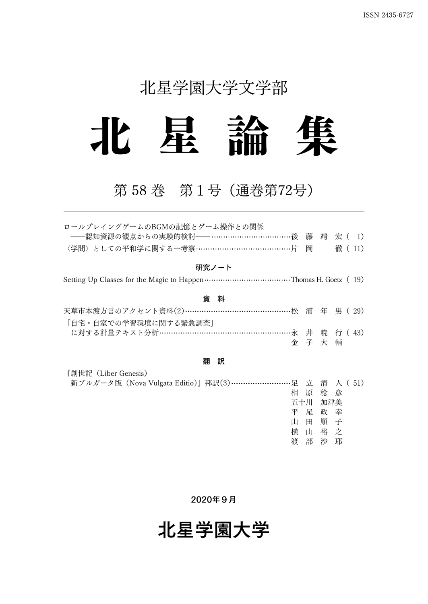## 北星学園大学文学部



## 第 58 巻 第1号(通巻第72号)

| ロールプレイングゲームのBGMの記憶とゲーム操作との関係                            |         |       |        |  |
|---------------------------------------------------------|---------|-------|--------|--|
| ――認知資源の観点からの実験的検討―― ………………………………後 藤 靖 宏( 1)             |         |       |        |  |
| 〈学問〉としての平和学に関する一考察…………………………………片                        |         | 岡     | 徹 (11) |  |
| 研究ノート                                                   |         |       |        |  |
|                                                         |         |       |        |  |
| 資 料                                                     |         |       |        |  |
| 天草市本渡方言のアクセント資料(2)…………………………………………松 浦 年 男( 29)          |         |       |        |  |
| 「自宅・自室での学習環境に関する緊急調査」                                   |         |       |        |  |
| に対する計量テキスト分析…………………………………………………………永 井 暁 行 (43)          |         |       |        |  |
|                                                         | 金子大輔    |       |        |  |
| 訳<br>翻                                                  |         |       |        |  |
| 『創世記(Liber Genesis)                                     |         |       |        |  |
| 新ブルガータ版 (Nova Vulgata Editio)』邦訳(3)……………………足 立 清 人 (51) |         |       |        |  |
| 相                                                       |         | 原 稔 彦 |        |  |
|                                                         | 五十川 加津美 |       |        |  |
|                                                         | 平 尾 政 幸 |       |        |  |
| 山                                                       | 田       | 順 子   |        |  |

2020年9月

横 山 裕 之 渡 部 沙 耶

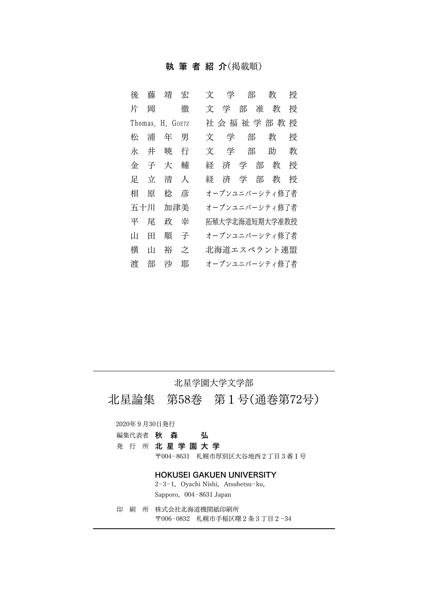#### 執筆者紹介(掲載順)

| 後   | 藤 | 靖                | 宏 | 文 | 学 | 部   |   | 教              | 授 |
|-----|---|------------------|---|---|---|-----|---|----------------|---|
| 片   | 岡 |                  | 徹 | 文 | 学 | 部   | 准 | 教              | 授 |
|     |   | Thomas, H. GOETZ |   |   |   |     |   | 社会福祉学部教        | 授 |
| 松   | 浦 | 年                | 男 | 文 | 学 | 部   |   | 教              | 授 |
| 永   | 井 | 暁                | 行 | 文 | 学 |     | 部 | 助              | 教 |
| 金   | 子 | 大                | 輔 | 経 | 済 | 学   | 部 | 教              | 授 |
| 足   | 立 | 清                | 人 | 経 |   | 済 学 | 部 | 教              | 授 |
| 相   | 原 | 稔                | 彦 |   |   |     |   | オープンユニバーシティ修了者 |   |
| 五十川 |   | 加津美              |   |   |   |     |   | オープンユニバーシティ修了者 |   |
| 平   | 屖 | 政                | 幸 |   |   |     |   | 拓殖大学北海道短期大学准教授 |   |
| Ш   | ⊞ | 順                | 子 |   |   |     |   | オープンユニバーシティ修了者 |   |
| 横   | Ш | 裕                | 之 |   |   |     |   | 北海道エスペラント連盟    |   |
| 渡   | 部 | 沙                | 耶 |   |   |     |   | オープンユニバーシティ修了者 |   |

#### 北星学園大学文学部

北星論集 第58巻 第1号(通巻第72号)

#### 2020年9月30日発行

| 編集代表者 | 秋 | 森 | 弘 |
|-------|---|---|---|
|-------|---|---|---|

発行所 北星学園大学

〒004-8631 札幌市厚別区大谷地西2丁目3番1号

#### HOKUSEI GAKUEN UNIVERSITY

2-3-1, Oyachi Nishi, Atsubetsu-ku, Sapporo, 004-8631 Japan

印刷所 株式会社北海道機関紙印刷所 〒006-0832 札幌市手稲区曙2条3丁目2-34